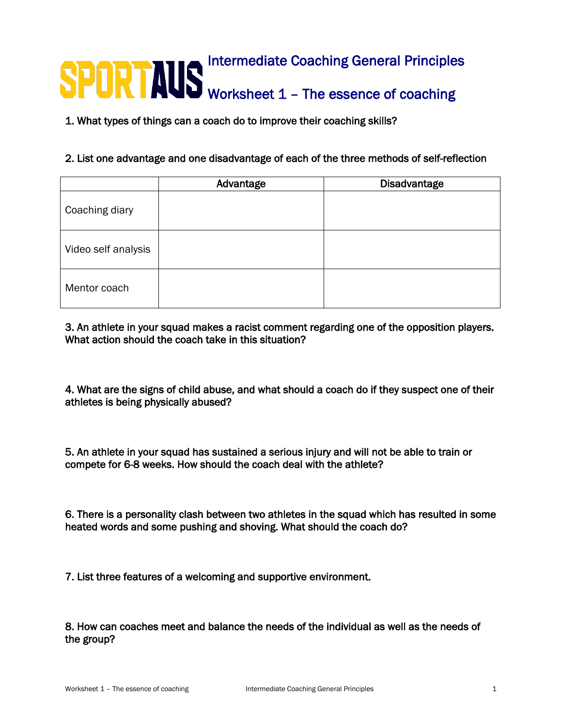## **Intermediate Coaching General Principles** Worksheet 1 - The essence of coaching

1. What types of things can a coach do to improve their coaching skills?

## 2. List one advantage and one disadvantage of each of the three methods of self-reflection

|                     | Advantage | <b>Disadvantage</b> |
|---------------------|-----------|---------------------|
| Coaching diary      |           |                     |
| Video self analysis |           |                     |
| Mentor coach        |           |                     |

## 3. An athlete in your squad makes a racist comment regarding one of the opposition players. What action should the coach take in this situation?

4. What are the signs of child abuse, and what should a coach do if they suspect one of their athletes is being physically abused?

5. An athlete in your squad has sustained a serious injury and will not be able to train or compete for 6-8 weeks. How should the coach deal with the athlete?

6. There is a personality clash between two athletes in the squad which has resulted in some heated words and some pushing and shoving. What should the coach do?

7. List three features of a welcoming and supportive environment.

8. How can coaches meet and balance the needs of the individual as well as the needs of the group?